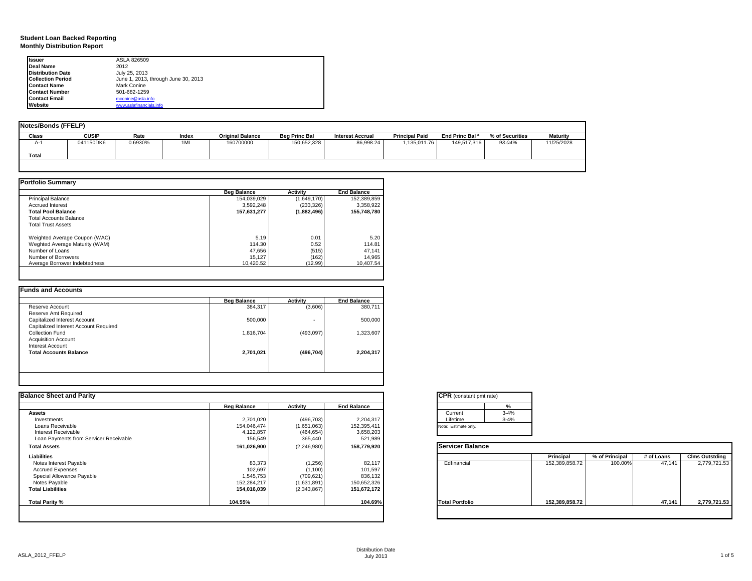### **Student Loan Backed Reporting Monthly Distribution Report**

| Issuer                   | ASLA 826509                         |
|--------------------------|-------------------------------------|
| Deal Name                | 2012                                |
| <b>Distribution Date</b> | July 25, 2013                       |
| <b>Collection Period</b> | June 1, 2013, through June 30, 2013 |
| <b>Contact Name</b>      | Mark Conine                         |
| <b>Contact Number</b>    | 501-682-1259                        |
| <b>Contact Email</b>     | mconine@asla.info                   |
| Website                  | www.aslafinancials.info             |

| <b>Notes/Bonds (FFELP)</b> |              |         |       |                         |                      |                         |                       |                            |                 |                 |
|----------------------------|--------------|---------|-------|-------------------------|----------------------|-------------------------|-----------------------|----------------------------|-----------------|-----------------|
| Class                      | <b>CUSIP</b> | Rate    | Index | <b>Original Balance</b> | <b>Beg Princ Bal</b> | <b>Interest Accrual</b> | <b>Principal Paid</b> | End Princ Bal <sup>a</sup> | % of Securities | <b>Maturity</b> |
| $A-1$                      | 041150DK6    | 0.6930% | 1ML   | 160700000               | 150,652,328          | 86,998.24               | 1,135,011.76          | 149,517,316                | 93.04%          | 11/25/2028      |
| Total                      |              |         |       |                         |                      |                         |                       |                            |                 |                 |
|                            |              |         |       |                         |                      |                         |                       |                            |                 |                 |

|                                | <b>Beg Balance</b> | Activity    | <b>End Balance</b> |
|--------------------------------|--------------------|-------------|--------------------|
| <b>Principal Balance</b>       | 154.039.029        | (1,649,170) | 152.389.859        |
| <b>Accrued Interest</b>        | 3.592.248          | (233, 326)  | 3.358.922          |
| <b>Total Pool Balance</b>      | 157.631.277        | (1,882,496) | 155.748.780        |
| Total Accounts Balance         |                    |             |                    |
| <b>Total Trust Assets</b>      |                    |             |                    |
| Weighted Average Coupon (WAC)  | 5.19               | 0.01        | 5.20               |
| Weghted Average Maturity (WAM) | 114.30             | 0.52        | 114.81             |
| Number of Loans                | 47.656             | (515)       | 47.141             |
| Number of Borrowers            | 15.127             | (162)       | 14,965             |
| Average Borrower Indebtedness  | 10.420.52          | (12.99)     | 10.407.54          |

|                                       | <b>Beg Balance</b> | <b>Activity</b> | <b>End Balance</b> |
|---------------------------------------|--------------------|-----------------|--------------------|
| Reserve Account                       | 384,317            | (3,606)         | 380,711            |
| Reserve Amt Required                  |                    |                 |                    |
| Capitalized Interest Account          | 500,000            |                 | 500.000            |
| Capitalized Interest Account Required |                    |                 |                    |
| Collection Fund                       | 1,816,704          | (493, 097)      | 1,323,607          |
| <b>Acquisition Account</b>            |                    |                 |                    |
| Interest Account                      |                    |                 |                    |
| <b>Total Accounts Balance</b>         | 2,701,021          | (496, 704)      | 2,204,317          |
|                                       |                    |                 |                    |
|                                       |                    |                 |                    |

| <b>Balance Sheet and Parity</b>        |                    |                 |                    | <b>CPR</b> (constant pmt rate) |                |                |            |                       |
|----------------------------------------|--------------------|-----------------|--------------------|--------------------------------|----------------|----------------|------------|-----------------------|
|                                        | <b>Beg Balance</b> | <b>Activity</b> | <b>End Balance</b> | $\frac{9}{6}$                  |                |                |            |                       |
| <b>Assets</b>                          |                    |                 |                    | $3 - 4%$<br>Current            |                |                |            |                       |
| Investments                            | 2,701,020          | (496, 703)      | 2,204,317          | Lifetime<br>$3 - 4%$           |                |                |            |                       |
| Loans Receivable                       | 154,046,474        | (1,651,063)     | 152,395,411        | Note: Estimate only.           |                |                |            |                       |
| Interest Receivable                    | 4,122,857          | (464, 654)      | 3,658,203          |                                |                |                |            |                       |
| Loan Payments from Servicer Receivable | 156,549            | 365,440         | 521,989            |                                |                |                |            |                       |
| <b>Total Assets</b>                    | 161,026,900        | (2,246,980)     | 158,779,920        | <b>Servicer Balance</b>        |                |                |            |                       |
| Liabilities                            |                    |                 |                    |                                | Principal      | % of Principal | # of Loans | <b>Clms Outstding</b> |
| Notes Interest Payable                 | 83,373             | (1, 256)        | 82,117             | Edfinancial                    | 152,389,858.72 | 100.00%        | 47,141     | 2,779,721.53          |
| <b>Accrued Expenses</b>                | 102,697            | (1, 100)        | 101,597            |                                |                |                |            |                       |
| Special Allowance Payable              | 1,545,753          | (709, 621)      | 836,132            |                                |                |                |            |                       |
| Notes Payable                          | 152,284,217        | (1,631,891)     | 150,652,326        |                                |                |                |            |                       |
| <b>Total Liabilities</b>               | 154,016,039        | (2,343,867)     | 151,672,172        |                                |                |                |            |                       |
| Total Parity %                         | 104.55%            |                 | 104.69%            | <b>Total Portfolio</b>         | 152,389,858.72 |                | 47,141     | 2,779,721.53          |
|                                        |                    |                 |                    |                                |                |                |            |                       |
|                                        |                    |                 |                    |                                |                |                |            |                       |

| CPR (constant pmt rate) |          |  |  |  |  |
|-------------------------|----------|--|--|--|--|
|                         | %        |  |  |  |  |
| Current                 | $3 - 4%$ |  |  |  |  |
| Lifetime                | $3 - 4%$ |  |  |  |  |
| lote: Estimate only.    |          |  |  |  |  |
|                         |          |  |  |  |  |

|                        | Principal      | % of Principal | # of Loans | <b>Clms Outstding</b> |
|------------------------|----------------|----------------|------------|-----------------------|
| Edfinancial            | 152,389,858.72 | 100.00%        | 47,141     | 2,779,721.53          |
| <b>Total Portfolio</b> | 152,389,858.72 |                | 47,141     | 2,779,721.53          |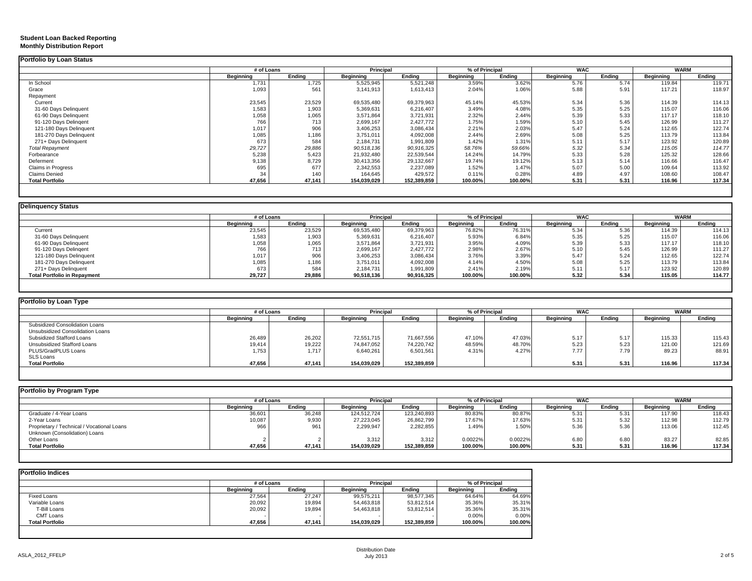#### **Student Loan Backed Reporting Monthly Distribution Report**

|                           | # of Loans       |        | Principal        |             | % of Principal |         | <b>WAC</b>       |        | <b>WARM</b>      |        |
|---------------------------|------------------|--------|------------------|-------------|----------------|---------|------------------|--------|------------------|--------|
|                           | <b>Beginning</b> | Ending | <b>Beginning</b> | Ending      | Beginning      | Ending  | <b>Beginning</b> | Ending | <b>Beginning</b> | Ending |
| In School                 | 1.731            | 1,725  | 5,525,945        | 5,521,248   | 3.59%          | 3.62%   | 5.76             | 5.74   | 119.84           | 119.71 |
| Grace                     | 1,093            | 561    | 3,141,913        | 1,613,413   | 2.04%          | 1.06%   | 5.88             | 5.91   | 117.21           | 118.97 |
| Repayment                 |                  |        |                  |             |                |         |                  |        |                  |        |
| Current                   | 23,545           | 23,529 | 69,535,480       | 69,379,963  | 45.14%         | 45.53%  | 5.34             | 5.36   | 114.39           | 114.13 |
| 31-60 Days Delinquent     | 1,583            | 1,903  | 5,369,631        | 6,216,407   | 3.49%          | 4.08%   | 5.35             | 5.25   | 115.07           | 116.06 |
| 61-90 Days Delinquent     | 1,058            | 1,065  | 3,571,864        | 3,721,931   | 2.32%          | 2.44%   | 5.39             | 5.33   | 117.17           | 118.10 |
| 91-120 Days Delingent     | 766              | 713    | 2,699,167        | 2,427,772   | 1.75%          | 1.59%   | 5.10             | 5.45   | 126.99           | 111.27 |
| 121-180 Days Delinquent   | 1,017            | 906    | 3,406,253        | 3,086,434   | 2.21%          | 2.03%   | 5.47             | 5.24   | 112.65           | 122.74 |
| 181-270 Days Delinquent   | 1,085            | 1,186  | 3,751,011        | 4,092,008   | 2.44%          | 2.69%   | 5.08             | 5.25   | 113.79           | 113.84 |
| 271+ Days Delinquent      | 673              | 584    | 2,184,731        | 1,991,809   | 1.42%          | 1.31%   | 5.11             | 5.17   | 123.92           | 120.89 |
| <b>Total Repayment</b>    | 29,727           | 29,886 | 90,518,136       | 90,916,325  | 58.76%         | 59.66%  | 5.32             | 5.34   | 115.05           | 114.77 |
| Forbearance               | 5,238            | 5,423  | 21,932,480       | 22,539,544  | 14.24%         | 14.79%  | 5.33             | 5.28   | 125.32           | 128.66 |
| Deferment                 | 9,138            | 8,729  | 30,413,356       | 29,132,667  | 19.74%         | 19.12%  | 5.13             | 5.14   | 116.66           | 116.47 |
| <b>Claims in Progress</b> | 695              | 677    | 2,342,553        | 2,237,089   | 1.52%          | 1.47%   | 5.07             | 5.00   | 109.64           | 113.92 |
| <b>Claims Denied</b>      | 34               | 140    | 164,645          | 429,572     | 0.11%          | 0.28%   | 4.89             | 4.97   | 108.60           | 108.47 |
| <b>Total Portfolio</b>    | 47,656           | 47.141 | 154,039,029      | 152,389,859 | 100.00%        | 100.00% | 5.31             | 5.31   | 116.96           | 117.34 |

| <b>Delinquency Status</b>           |                  |        |            |            |                |         |                  |        |                  |        |
|-------------------------------------|------------------|--------|------------|------------|----------------|---------|------------------|--------|------------------|--------|
|                                     | # of Loans       |        | Principal  |            | % of Principal |         | <b>WAC</b>       |        | <b>WARM</b>      |        |
|                                     | <b>Beginning</b> | Endina | Beginning  | Endina     | Beainnina      | Endina  | <b>Beginning</b> | Endina | <b>Beginning</b> | Endina |
| Current                             | 23,545           | 23,529 | 69,535,480 | 69,379,963 | 76.82%         | 76.31%  | 5.34             | 5.36   | 114.39           | 114.13 |
| 31-60 Days Delinquent               | 1,583            | 1,903  | 5,369,631  | 6,216,407  | 5.93%          | 6.84%   | 5.35             | 5.25   | 115.07           | 116.06 |
| 61-90 Days Delinquent               | 1,058            | 1,065  | 3,571,864  | 3,721,931  | 3.95%          | 4.09%   | 5.39             | 5.33   | 117.17           | 118.10 |
| 91-120 Days Delingent               | 766              | 713    | 2,699,167  | 2,427,772  | 2.98%          | 2.67%   | 5.10             | 5.45   | 126.99           | 111.27 |
| 121-180 Days Delinquent             | 1,017            | 906    | 3,406,253  | 3,086,434  | 3.76%          | 3.39%   | 5.47             | 5.24   | 112.65           | 122.74 |
| 181-270 Days Delinquent             | 1,085            | 1,186  | 3,751,011  | 4,092,008  | 4.14%          | 4.50%   | 5.08             | 5.25   | 113.79           | 113.84 |
| 271+ Days Delinguent                | 673              | 584    | 2,184,731  | 1,991,809  | 2.41%          | 2.19%   | 5.11             | 5.17   | 123.92           | 120.89 |
| <b>Total Portfolio in Repayment</b> | 29,727           | 29,886 | 90,518,136 | 90,916,325 | 100.00%        | 100.00% | 5.32             | 5.34   | 115.05           | 114.77 |
|                                     |                  |        |            |            |                |         |                  |        |                  |        |

| Portfolio by Loan Type           |            |        |             |             |           |                |                  |        |                  |             |
|----------------------------------|------------|--------|-------------|-------------|-----------|----------------|------------------|--------|------------------|-------------|
|                                  | # of Loans |        | Principal   |             |           | % of Principal | <b>WAC</b>       |        |                  | <b>WARM</b> |
|                                  | Beginning  | Endina | Beginning   | Endina      | Beginning | Ending         | <b>Beainning</b> | Endina | <b>Beginning</b> | Ending      |
| Subsidized Consolidation Loans   |            |        |             |             |           |                |                  |        |                  |             |
| Unsubsidized Consolidation Loans |            |        |             |             |           |                |                  |        |                  |             |
| Subsidized Stafford Loans        | 26,489     | 26,202 | 72,551,715  | 71,667,556  | 47.10%    | 47.03%         | 5.17             | 5.17   | 115.33           | 115.43      |
| Unsubsidized Stafford Loans      | 19,414     | 19,222 | 74,847,052  | 74.220.742  | 48.59%    | 48.70%         | 5.23             | 5.23   | 121.00           | 121.69      |
| PLUS/GradPLUS Loans              | 1,753      | 1.717  | 6,640,261   | 6,501,561   | 4.31%     | 4.27%          | 7.77             | 7.79   | 89.23            | 88.91       |
| SLS Loans                        |            |        |             |             |           |                |                  |        |                  |             |
| <b>Total Portfolio</b>           | 47,656     | 47,141 | 154,039,029 | 152,389,859 |           |                | 5.31             | 5.31   | 116.96           | 117.34      |
|                                  |            |        |             |             |           |                |                  |        |                  |             |

|                  |        |             |             |           | <b>WAC</b> |                | <b>WARM</b> |           |        |
|------------------|--------|-------------|-------------|-----------|------------|----------------|-------------|-----------|--------|
| <b>Beginning</b> | Endina | Beginning   | Endina      | Beginning | Endina     | Beainnina      | Endina      | Beainnina | Endina |
| 36,601           | 36,248 | 124.512.724 | 123,240,893 | 80.83%    | 80.87%     | 5.31           | 5.31        | 117.90    | 118.43 |
| 10,087           | 9,930  | 27,223,045  | 26,862,799  | 17.67%    | 17.63%     | 5.31           | 5.32        | 112.98    | 112.79 |
| 966              | 961    | 2,299,947   | 2,282,855   | 1.49%     | 1.50%      | 5.36           | 5.36        | 113.06    | 112.45 |
|                  |        |             |             |           |            |                |             |           |        |
|                  |        | 3,312       | 3.312       | 0.0022%   | 0.0022%    | 6.80           | 6.80        | 83.27     | 82.85  |
| 47,656           | 47.141 | 154,039,029 | 152,389,859 | 100.00%   | 100.00%    | 5.31           | 5.31        | 116.96    | 117.34 |
|                  |        | # of Loans  |             | Principal |            | % of Principal |             |           |        |

|                        | # of Loans |        | Principal        |             | % of Principal |         |
|------------------------|------------|--------|------------------|-------------|----------------|---------|
|                        | Beginning  | Endina | <b>Beginning</b> | Endina      | Beginning      | Ending  |
| <b>Fixed Loans</b>     | 27,564     | 27,247 | 99,575,211       | 98,577,345  | 64.64%         | 64.69%  |
| Variable Loans         | 20,092     | 19,894 | 54,463,818       | 53,812,514  | 35.36%         | 35.31%  |
| T-Bill Loans           | 20,092     | 19,894 | 54,463,818       | 53.812.514  | 35.36%         | 35.31%  |
| <b>CMT Loans</b>       |            |        |                  |             | 0.00%          | 0.00%   |
| <b>Total Portfolio</b> | 47.656     | 47.141 | 154,039,029      | 152.389.859 | 100.00%        | 100.00% |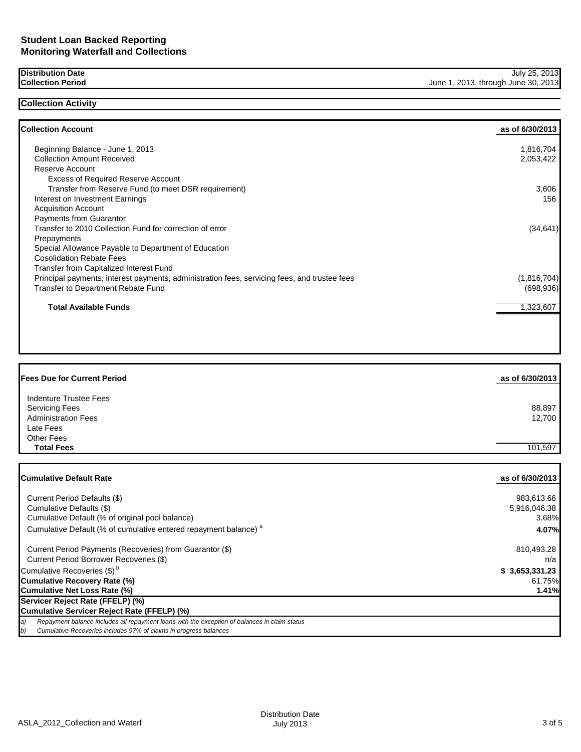## **Distribution Date Collection Period**

**Collection Activity**

| Beginning Balance - June 1, 2013                                                             | 1,816,704   |
|----------------------------------------------------------------------------------------------|-------------|
| <b>Collection Amount Received</b>                                                            | 2,053,422   |
| Reserve Account                                                                              |             |
| <b>Excess of Required Reserve Account</b>                                                    |             |
| Transfer from Reserve Fund (to meet DSR requirement)                                         | 3,606       |
| Interest on Investment Earnings                                                              | 156         |
| <b>Acquisition Account</b>                                                                   |             |
| <b>Payments from Guarantor</b>                                                               |             |
| Transfer to 2010 Collection Fund for correction of error                                     | (34, 641)   |
| Prepayments                                                                                  |             |
| Special Allowance Payable to Department of Education                                         |             |
| <b>Cosolidation Rebate Fees</b>                                                              |             |
| Transfer from Capitalized Interest Fund                                                      |             |
| Principal payments, interest payments, administration fees, servicing fees, and trustee fees | (1,816,704) |
| <b>Transfer to Department Rebate Fund</b>                                                    | (698, 936)  |
| <b>Total Available Funds</b>                                                                 | 1,323,607   |

| <b>Fees Due for Current Period</b>                                            | as of 6/30/2013  |
|-------------------------------------------------------------------------------|------------------|
| Indenture Trustee Fees<br><b>Servicing Fees</b><br><b>Administration Fees</b> | 88,897<br>12,700 |
| Late Fees<br>Other Fees                                                       |                  |
| <b>Total Fees</b>                                                             | 101.597          |

| <b>ICumulative Default Rate</b>                                                                     | as of 6/30/2013 |
|-----------------------------------------------------------------------------------------------------|-----------------|
|                                                                                                     |                 |
| Current Period Defaults (\$)                                                                        | 983,613.66      |
| Cumulative Defaults (\$)                                                                            | 5,916,046.38    |
| Cumulative Default (% of original pool balance)                                                     | 3.68%           |
| Cumulative Default (% of cumulative entered repayment balance) <sup>a</sup>                         | 4.07%           |
| Current Period Payments (Recoveries) from Guarantor (\$)                                            | 810,493.28      |
| Current Period Borrower Recoveries (\$)                                                             | n/a             |
| Cumulative Recoveries (\$) <sup>b</sup>                                                             | \$3,653,331.23  |
| Cumulative Recovery Rate (%)                                                                        | 61.75%          |
| Cumulative Net Loss Rate (%)                                                                        | 1.41%           |
| Servicer Reject Rate (FFELP) (%)                                                                    |                 |
| Cumulative Servicer Reject Rate (FFELP) (%)                                                         |                 |
| a)<br>Repayment balance includes all repayment loans with the exception of balances in claim status |                 |
| b)<br>Cumulative Recoveries includes 97% of claims in progress balances                             |                 |

July 25, 2013

June 1, 2013, through June 30, 2013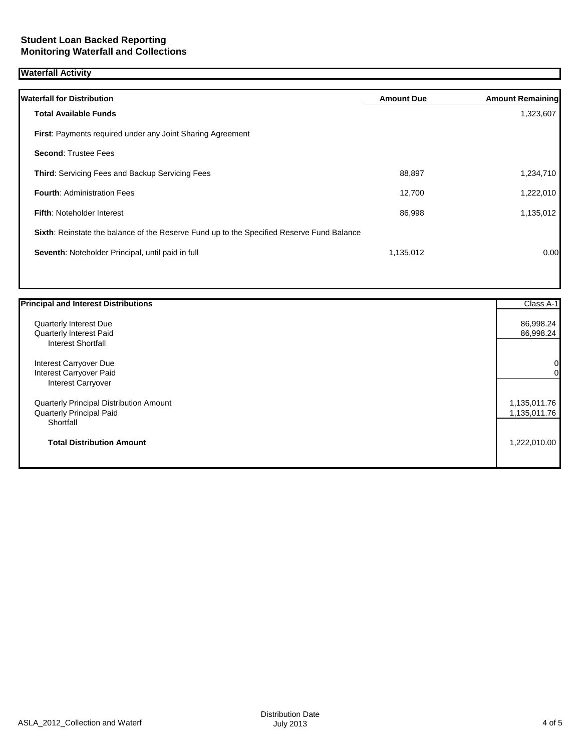# **Waterfall Activity**

| <b>Waterfall for Distribution</b>                                                         | <b>Amount Due</b> | <b>Amount Remaining</b> |
|-------------------------------------------------------------------------------------------|-------------------|-------------------------|
| <b>Total Available Funds</b>                                                              |                   | 1,323,607               |
| <b>First:</b> Payments required under any Joint Sharing Agreement                         |                   |                         |
| <b>Second: Trustee Fees</b>                                                               |                   |                         |
| Third: Servicing Fees and Backup Servicing Fees                                           | 88,897            | 1,234,710               |
| <b>Fourth: Administration Fees</b>                                                        | 12,700            | 1,222,010               |
| <b>Fifth: Noteholder Interest</b>                                                         | 86,998            | 1,135,012               |
| Sixth: Reinstate the balance of the Reserve Fund up to the Specified Reserve Fund Balance |                   |                         |
| Seventh: Noteholder Principal, until paid in full                                         | 1,135,012         | 0.00                    |
|                                                                                           |                   |                         |

| <b>Principal and Interest Distributions</b> | Class A-1    |
|---------------------------------------------|--------------|
| Quarterly Interest Due                      | 86,998.24    |
| Quarterly Interest Paid                     | 86,998.24    |
| <b>Interest Shortfall</b>                   |              |
| Interest Carryover Due                      | 0            |
| Interest Carryover Paid                     | 0            |
| Interest Carryover                          |              |
| Quarterly Principal Distribution Amount     | 1,135,011.76 |
| Quarterly Principal Paid                    | 1,135,011.76 |
| Shortfall                                   |              |
| <b>Total Distribution Amount</b>            | 1,222,010.00 |
|                                             |              |
|                                             |              |